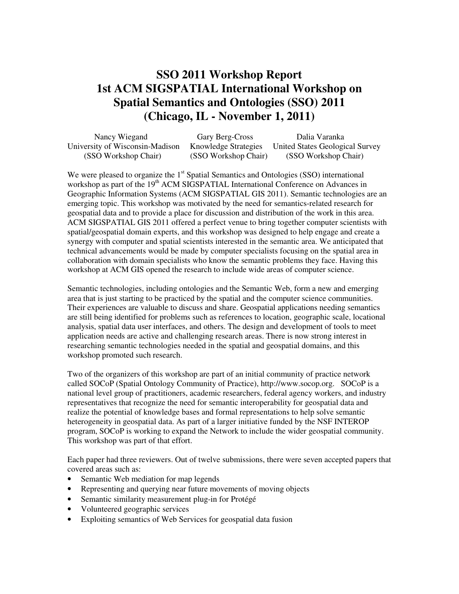## **SSO 2011 Workshop Report 1st ACM SIGSPATIAL International Workshop on Spatial Semantics and Ontologies (SSO) 2011 (Chicago, IL - November 1, 2011)**

| Nancy Wiegand                   | Gary Berg-Cross             | Dalia Varanka                   |
|---------------------------------|-----------------------------|---------------------------------|
| University of Wisconsin-Madison | <b>Knowledge Strategies</b> | United States Geological Survey |
| (SSO Workshop Chair)            | (SSO Workshop Chair)        | (SSO Workshop Chair)            |

We were pleased to organize the 1<sup>st</sup> Spatial Semantics and Ontologies (SSO) international workshop as part of the 19<sup>th</sup> ACM SIGSPATIAL International Conference on Advances in Geographic Information Systems (ACM SIGSPATIAL GIS 2011). Semantic technologies are an emerging topic. This workshop was motivated by the need for semantics-related research for geospatial data and to provide a place for discussion and distribution of the work in this area. ACM SIGSPATIAL GIS 2011 offered a perfect venue to bring together computer scientists with spatial/geospatial domain experts, and this workshop was designed to help engage and create a synergy with computer and spatial scientists interested in the semantic area. We anticipated that technical advancements would be made by computer specialists focusing on the spatial area in collaboration with domain specialists who know the semantic problems they face. Having this workshop at ACM GIS opened the research to include wide areas of computer science.

Semantic technologies, including ontologies and the Semantic Web, form a new and emerging area that is just starting to be practiced by the spatial and the computer science communities. Their experiences are valuable to discuss and share. Geospatial applications needing semantics are still being identified for problems such as references to location, geographic scale, locational analysis, spatial data user interfaces, and others. The design and development of tools to meet application needs are active and challenging research areas. There is now strong interest in researching semantic technologies needed in the spatial and geospatial domains, and this workshop promoted such research.

Two of the organizers of this workshop are part of an initial community of practice network called SOCoP (Spatial Ontology Community of Practice), http://www.socop.org. SOCoP is a national level group of practitioners, academic researchers, federal agency workers, and industry representatives that recognize the need for semantic interoperability for geospatial data and realize the potential of knowledge bases and formal representations to help solve semantic heterogeneity in geospatial data. As part of a larger initiative funded by the NSF INTEROP program, SOCoP is working to expand the Network to include the wider geospatial community. This workshop was part of that effort.

Each paper had three reviewers. Out of twelve submissions, there were seven accepted papers that covered areas such as:

- Semantic Web mediation for map legends
- Representing and querying near future movements of moving objects
- Semantic similarity measurement plug-in for Protégé
- Volunteered geographic services
- Exploiting semantics of Web Services for geospatial data fusion